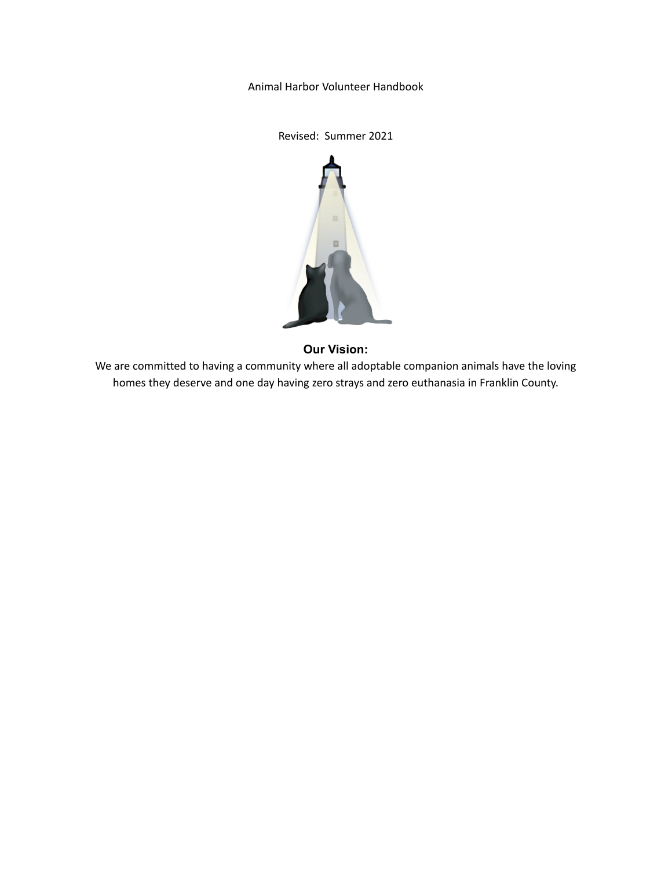Animal Harbor Volunteer Handbook

Revised: Summer 2021



# **Our Vision:**

We are committed to having a community where all adoptable companion animals have the loving homes they deserve and one day having zero strays and zero euthanasia in Franklin County.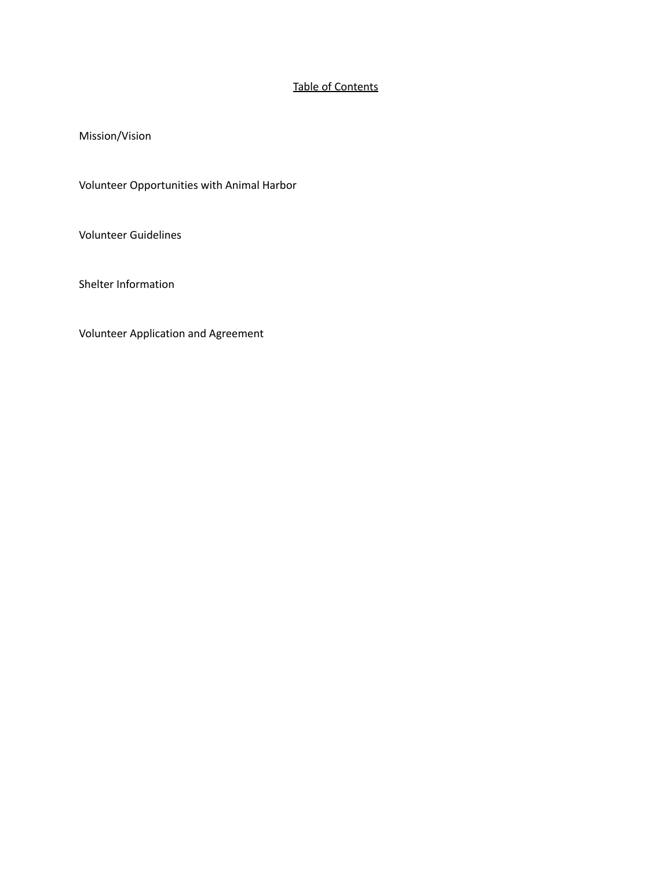# Table of Contents

Mission/Vision

Volunteer Opportunities with Animal Harbor

Volunteer Guidelines

Shelter Information

Volunteer Application and Agreement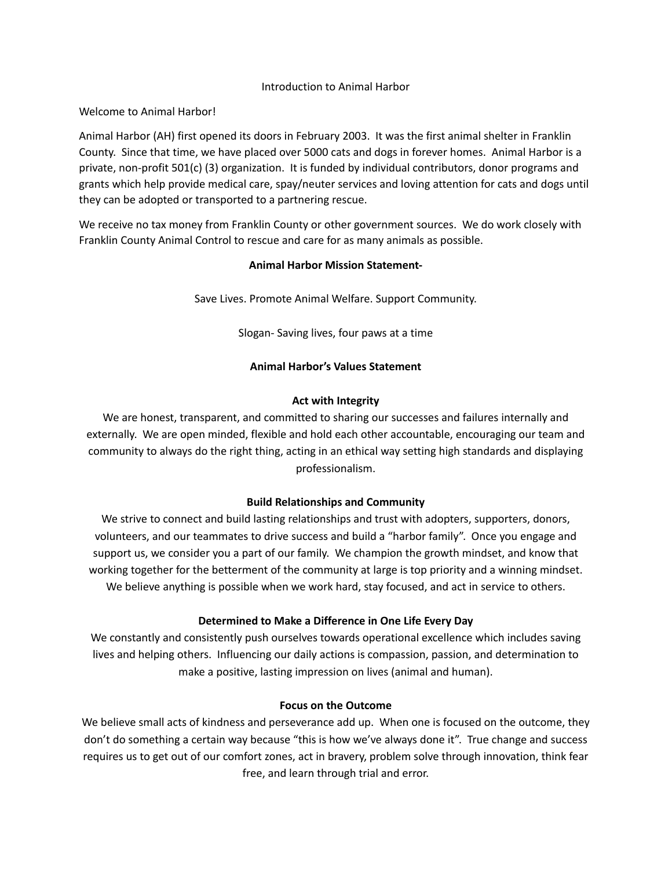#### Introduction to Animal Harbor

Welcome to Animal Harbor!

Animal Harbor (AH) first opened its doors in February 2003. It was the first animal shelter in Franklin County. Since that time, we have placed over 5000 cats and dogs in forever homes. Animal Harbor is a private, non-profit 501(c) (3) organization. It is funded by individual contributors, donor programs and grants which help provide medical care, spay/neuter services and loving attention for cats and dogs until they can be adopted or transported to a partnering rescue.

We receive no tax money from Franklin County or other government sources. We do work closely with Franklin County Animal Control to rescue and care for as many animals as possible.

# **Animal Harbor Mission Statement-**

Save Lives. Promote Animal Welfare. Support Community.

Slogan- Saving lives, four paws at a time

# **Animal Harbor's Values Statement**

# **Act with Integrity**

We are honest, transparent, and committed to sharing our successes and failures internally and externally. We are open minded, flexible and hold each other accountable, encouraging our team and community to always do the right thing, acting in an ethical way setting high standards and displaying professionalism.

# **Build Relationships and Community**

We strive to connect and build lasting relationships and trust with adopters, supporters, donors, volunteers, and our teammates to drive success and build a "harbor family". Once you engage and support us, we consider you a part of our family. We champion the growth mindset, and know that working together for the betterment of the community at large is top priority and a winning mindset. We believe anything is possible when we work hard, stay focused, and act in service to others.

# **Determined to Make a Difference in One Life Every Day**

We constantly and consistently push ourselves towards operational excellence which includes saving lives and helping others. Influencing our daily actions is compassion, passion, and determination to make a positive, lasting impression on lives (animal and human).

# **Focus on the Outcome**

We believe small acts of kindness and perseverance add up. When one is focused on the outcome, they don't do something a certain way because "this is how we've always done it". True change and success requires us to get out of our comfort zones, act in bravery, problem solve through innovation, think fear free, and learn through trial and error.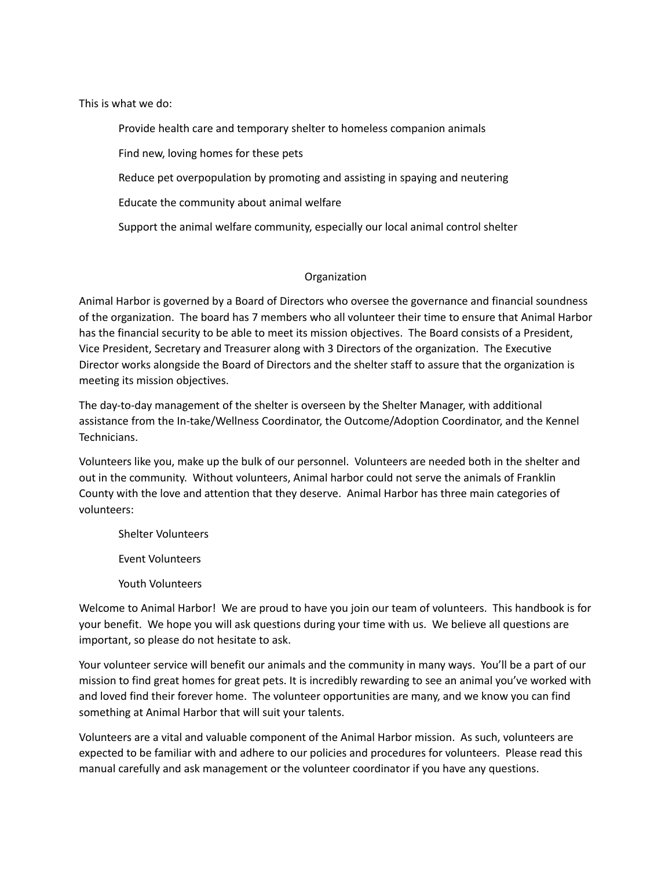This is what we do:

Provide health care and temporary shelter to homeless companion animals

Find new, loving homes for these pets

Reduce pet overpopulation by promoting and assisting in spaying and neutering

Educate the community about animal welfare

Support the animal welfare community, especially our local animal control shelter

#### Organization

Animal Harbor is governed by a Board of Directors who oversee the governance and financial soundness of the organization. The board has 7 members who all volunteer their time to ensure that Animal Harbor has the financial security to be able to meet its mission objectives. The Board consists of a President, Vice President, Secretary and Treasurer along with 3 Directors of the organization. The Executive Director works alongside the Board of Directors and the shelter staff to assure that the organization is meeting its mission objectives.

The day-to-day management of the shelter is overseen by the Shelter Manager, with additional assistance from the In-take/Wellness Coordinator, the Outcome/Adoption Coordinator, and the Kennel Technicians.

Volunteers like you, make up the bulk of our personnel. Volunteers are needed both in the shelter and out in the community. Without volunteers, Animal harbor could not serve the animals of Franklin County with the love and attention that they deserve. Animal Harbor has three main categories of volunteers:

Shelter Volunteers

Event Volunteers

Youth Volunteers

Welcome to Animal Harbor! We are proud to have you join our team of volunteers. This handbook is for your benefit. We hope you will ask questions during your time with us. We believe all questions are important, so please do not hesitate to ask.

Your volunteer service will benefit our animals and the community in many ways. You'll be a part of our mission to find great homes for great pets. It is incredibly rewarding to see an animal you've worked with and loved find their forever home. The volunteer opportunities are many, and we know you can find something at Animal Harbor that will suit your talents.

Volunteers are a vital and valuable component of the Animal Harbor mission. As such, volunteers are expected to be familiar with and adhere to our policies and procedures for volunteers. Please read this manual carefully and ask management or the volunteer coordinator if you have any questions.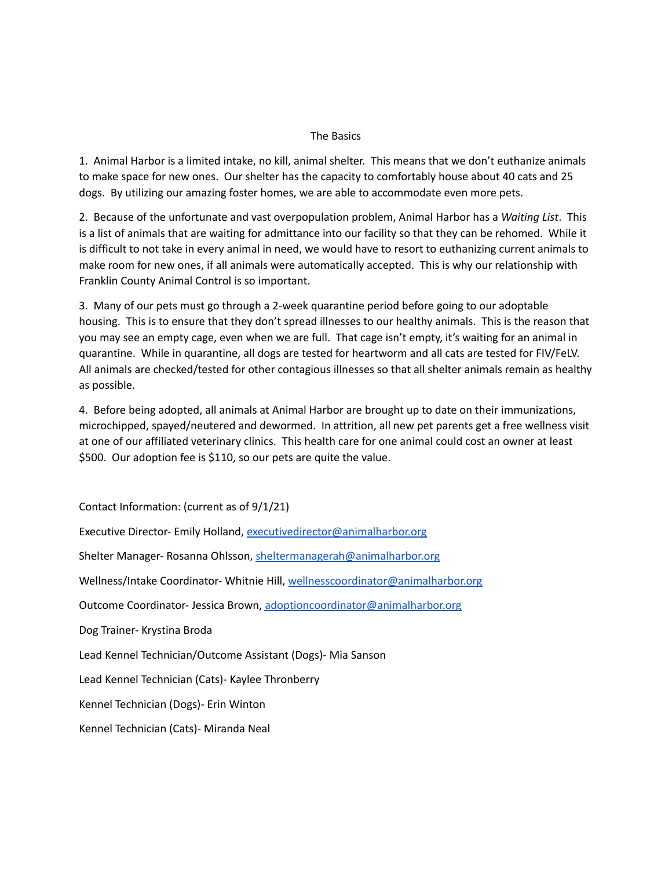#### The Basics

1. Animal Harbor is a limited intake, no kill, animal shelter. This means that we don't euthanize animals to make space for new ones. Our shelter has the capacity to comfortably house about 40 cats and 25 dogs. By utilizing our amazing foster homes, we are able to accommodate even more pets.

2. Because of the unfortunate and vast overpopulation problem, Animal Harbor has a *Waiting List*. This is a list of animals that are waiting for admittance into our facility so that they can be rehomed. While it is difficult to not take in every animal in need, we would have to resort to euthanizing current animals to make room for new ones, if all animals were automatically accepted. This is why our relationship with Franklin County Animal Control is so important.

3. Many of our pets must go through a 2-week quarantine period before going to our adoptable housing. This is to ensure that they don't spread illnesses to our healthy animals. This is the reason that you may see an empty cage, even when we are full. That cage isn't empty, it's waiting for an animal in quarantine. While in quarantine, all dogs are tested for heartworm and all cats are tested for FIV/FeLV. All animals are checked/tested for other contagious illnesses so that all shelter animals remain as healthy as possible.

4. Before being adopted, all animals at Animal Harbor are brought up to date on their immunizations, microchipped, spayed/neutered and dewormed. In attrition, all new pet parents get a free wellness visit at one of our affiliated veterinary clinics. This health care for one animal could cost an owner at least \$500. Our adoption fee is \$110, so our pets are quite the value.

Contact Information: (current as of 9/1/21) Executive Director- Emily Holland, [executivedirector@animalharbor.org](mailto:executivedirector@animalharbor.org) Shelter Manager- Rosanna Ohlsson, [sheltermanagerah@animalharbor.org](mailto:sheltermanagerah@animalharbor.org) Wellness/Intake Coordinator- Whitnie Hill, [wellnesscoordinator@animalharbor.org](mailto:wellnesscoordinator@animalharbor.org) Outcome Coordinator- Jessica Brown, [adoptioncoordinator@animalharbor.org](mailto:adoptioncoordinator@animalharbor.org) Dog Trainer- Krystina Broda Lead Kennel Technician/Outcome Assistant (Dogs)- Mia Sanson Lead Kennel Technician (Cats)- Kaylee Thronberry Kennel Technician (Dogs)- Erin Winton Kennel Technician (Cats)- Miranda Neal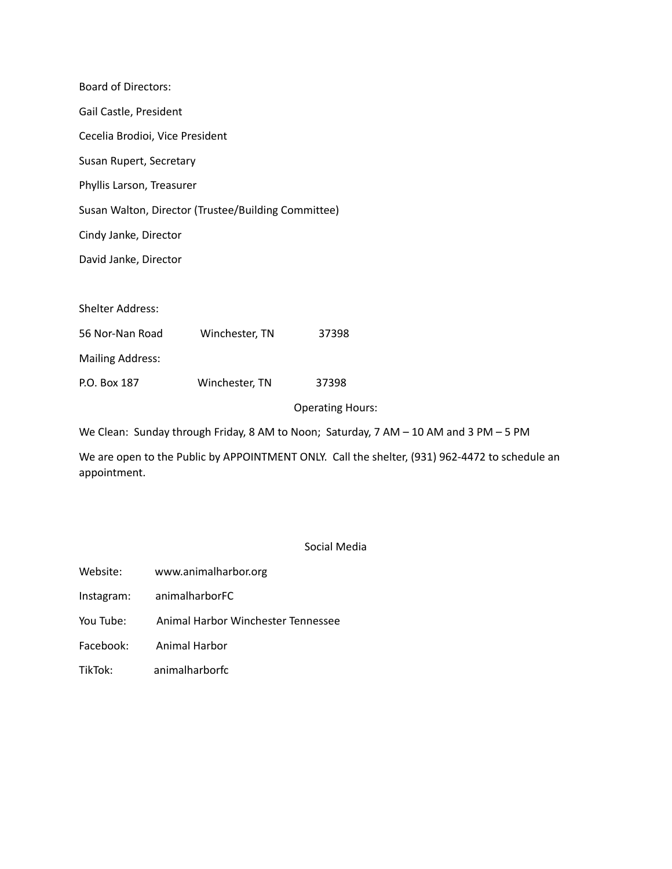| <b>Board of Directors:</b>                          |                |                         |
|-----------------------------------------------------|----------------|-------------------------|
| Gail Castle, President                              |                |                         |
| Cecelia Brodioi, Vice President                     |                |                         |
| Susan Rupert, Secretary                             |                |                         |
| Phyllis Larson, Treasurer                           |                |                         |
| Susan Walton, Director (Trustee/Building Committee) |                |                         |
| Cindy Janke, Director                               |                |                         |
| David Janke, Director                               |                |                         |
|                                                     |                |                         |
| Shelter Address:                                    |                |                         |
| 56 Nor-Nan Road                                     | Winchester, TN | 37398                   |
| <b>Mailing Address:</b>                             |                |                         |
| P.O. Box 187                                        | Winchester, TN | 37398                   |
|                                                     |                | <b>Operating Hours:</b> |

We Clean: Sunday through Friday, 8 AM to Noon; Saturday, 7 AM – 10 AM and 3 PM – 5 PM

We are open to the Public by APPOINTMENT ONLY. Call the shelter, (931) 962-4472 to schedule an appointment.

Social Media

- Website: www.animalharbor.org
- Instagram: animalharborFC
- You Tube: Animal Harbor Winchester Tennessee
- Facebook: Animal Harbor
- TikTok: animalharborfc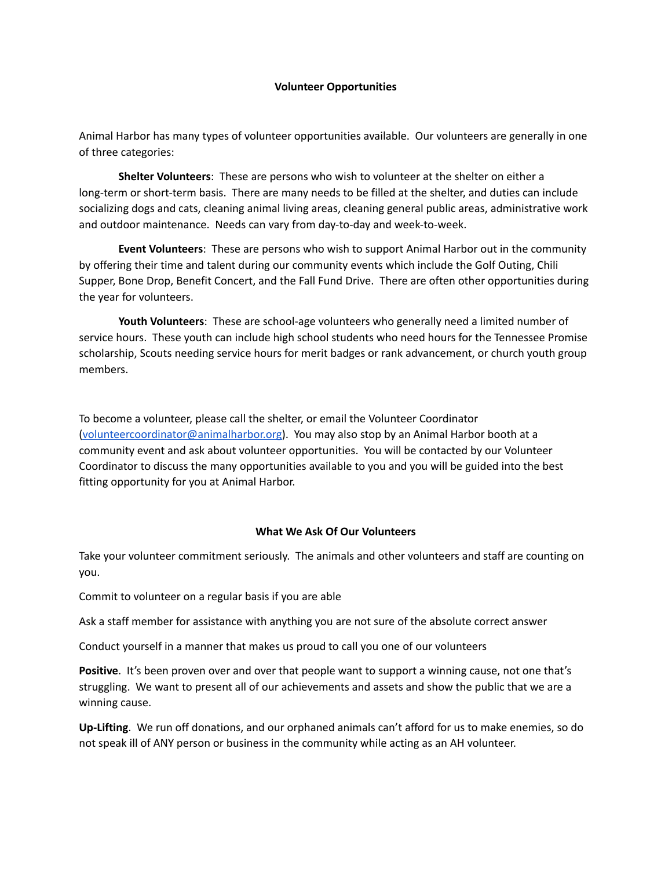#### **Volunteer Opportunities**

Animal Harbor has many types of volunteer opportunities available. Our volunteers are generally in one of three categories:

**Shelter Volunteers**: These are persons who wish to volunteer at the shelter on either a long-term or short-term basis. There are many needs to be filled at the shelter, and duties can include socializing dogs and cats, cleaning animal living areas, cleaning general public areas, administrative work and outdoor maintenance. Needs can vary from day-to-day and week-to-week.

**Event Volunteers**: These are persons who wish to support Animal Harbor out in the community by offering their time and talent during our community events which include the Golf Outing, Chili Supper, Bone Drop, Benefit Concert, and the Fall Fund Drive. There are often other opportunities during the year for volunteers.

**Youth Volunteers**: These are school-age volunteers who generally need a limited number of service hours. These youth can include high school students who need hours for the Tennessee Promise scholarship, Scouts needing service hours for merit badges or rank advancement, or church youth group members.

To become a volunteer, please call the shelter, or email the Volunteer Coordinator [\(volunteercoordinator@animalharbor.org\)](mailto:volunteercoordinator@animalharbor.org). You may also stop by an Animal Harbor booth at a community event and ask about volunteer opportunities. You will be contacted by our Volunteer Coordinator to discuss the many opportunities available to you and you will be guided into the best fitting opportunity for you at Animal Harbor.

# **What We Ask Of Our Volunteers**

Take your volunteer commitment seriously. The animals and other volunteers and staff are counting on you.

Commit to volunteer on a regular basis if you are able

Ask a staff member for assistance with anything you are not sure of the absolute correct answer

Conduct yourself in a manner that makes us proud to call you one of our volunteers

**Positive**. It's been proven over and over that people want to support a winning cause, not one that's struggling. We want to present all of our achievements and assets and show the public that we are a winning cause.

**Up-Lifting**. We run off donations, and our orphaned animals can't afford for us to make enemies, so do not speak ill of ANY person or business in the community while acting as an AH volunteer.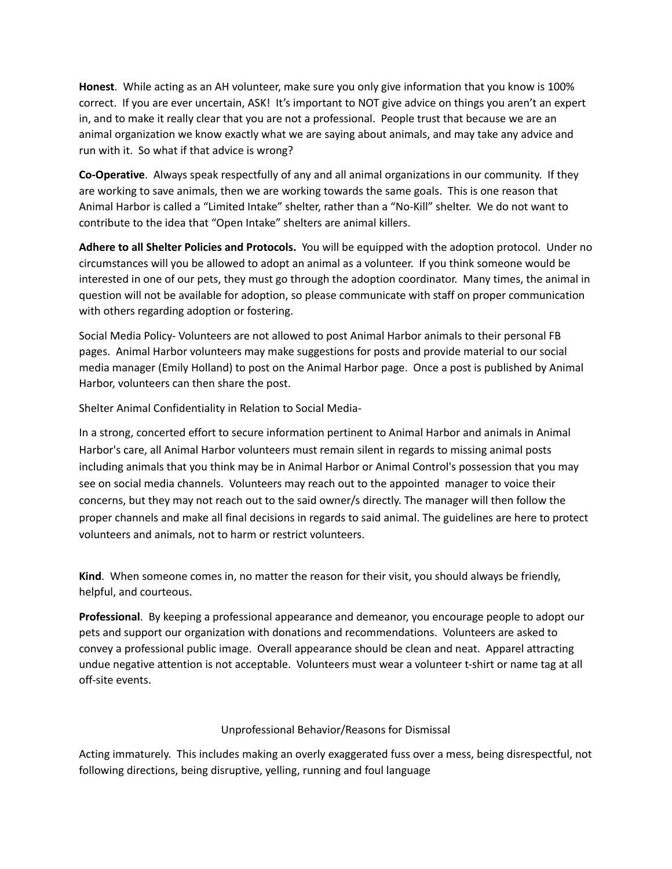**Honest**. While acting as an AH volunteer, make sure you only give information that you know is 100% correct. If you are ever uncertain, ASK! It's important to NOT give advice on things you aren't an expert in, and to make it really clear that you are not a professional. People trust that because we are an animal organization we know exactly what we are saying about animals, and may take any advice and run with it. So what if that advice is wrong?

**Co-Operative**. Always speak respectfully of any and all animal organizations in our community. If they are working to save animals, then we are working towards the same goals. This is one reason that Animal Harbor is called a "Limited Intake" shelter, rather than a "No-Kill" shelter. We do not want to contribute to the idea that "Open Intake" shelters are animal killers.

**Adhere to all Shelter Policies and Protocols.** You will be equipped with the adoption protocol. Under no circumstances will you be allowed to adopt an animal as a volunteer. If you think someone would be interested in one of our pets, they must go through the adoption coordinator. Many times, the animal in question will not be available for adoption, so please communicate with staff on proper communication with others regarding adoption or fostering.

Social Media Policy- Volunteers are not allowed to post Animal Harbor animals to their personal FB pages. Animal Harbor volunteers may make suggestions for posts and provide material to our social media manager (Emily Holland) to post on the Animal Harbor page. Once a post is published by Animal Harbor, volunteers can then share the post.

Shelter Animal Confidentiality in Relation to Social Media-

In a strong, concerted effort to secure information pertinent to Animal Harbor and animals in Animal Harbor's care, all Animal Harbor volunteers must remain silent in regards to missing animal posts including animals that you think may be in Animal Harbor or Animal Control's possession that you may see on social media channels. Volunteers may reach out to the appointed manager to voice their concerns, but they may not reach out to the said owner/s directly. The manager will then follow the proper channels and make all final decisions in regards to said animal. The guidelines are here to protect volunteers and animals, not to harm or restrict volunteers.

**Kind**. When someone comes in, no matter the reason for their visit, you should always be friendly, helpful, and courteous.

**Professional**. By keeping a professional appearance and demeanor, you encourage people to adopt our pets and support our organization with donations and recommendations. Volunteers are asked to convey a professional public image. Overall appearance should be clean and neat. Apparel attracting undue negative attention is not acceptable. Volunteers must wear a volunteer t-shirt or name tag at all off-site events.

# Unprofessional Behavior/Reasons for Dismissal

Acting immaturely. This includes making an overly exaggerated fuss over a mess, being disrespectful, not following directions, being disruptive, yelling, running and foul language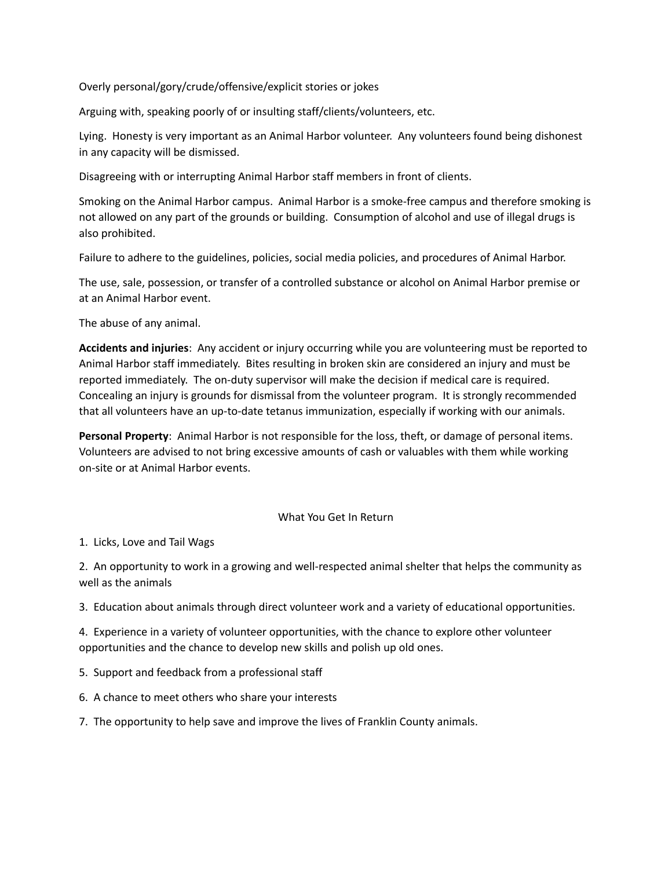Overly personal/gory/crude/offensive/explicit stories or jokes

Arguing with, speaking poorly of or insulting staff/clients/volunteers, etc.

Lying. Honesty is very important as an Animal Harbor volunteer. Any volunteers found being dishonest in any capacity will be dismissed.

Disagreeing with or interrupting Animal Harbor staff members in front of clients.

Smoking on the Animal Harbor campus. Animal Harbor is a smoke-free campus and therefore smoking is not allowed on any part of the grounds or building. Consumption of alcohol and use of illegal drugs is also prohibited.

Failure to adhere to the guidelines, policies, social media policies, and procedures of Animal Harbor.

The use, sale, possession, or transfer of a controlled substance or alcohol on Animal Harbor premise or at an Animal Harbor event.

The abuse of any animal.

**Accidents and injuries**: Any accident or injury occurring while you are volunteering must be reported to Animal Harbor staff immediately. Bites resulting in broken skin are considered an injury and must be reported immediately. The on-duty supervisor will make the decision if medical care is required. Concealing an injury is grounds for dismissal from the volunteer program. It is strongly recommended that all volunteers have an up-to-date tetanus immunization, especially if working with our animals.

**Personal Property**: Animal Harbor is not responsible for the loss, theft, or damage of personal items. Volunteers are advised to not bring excessive amounts of cash or valuables with them while working on-site or at Animal Harbor events.

#### What You Get In Return

1. Licks, Love and Tail Wags

2. An opportunity to work in a growing and well-respected animal shelter that helps the community as well as the animals

3. Education about animals through direct volunteer work and a variety of educational opportunities.

4. Experience in a variety of volunteer opportunities, with the chance to explore other volunteer opportunities and the chance to develop new skills and polish up old ones.

- 5. Support and feedback from a professional staff
- 6. A chance to meet others who share your interests
- 7. The opportunity to help save and improve the lives of Franklin County animals.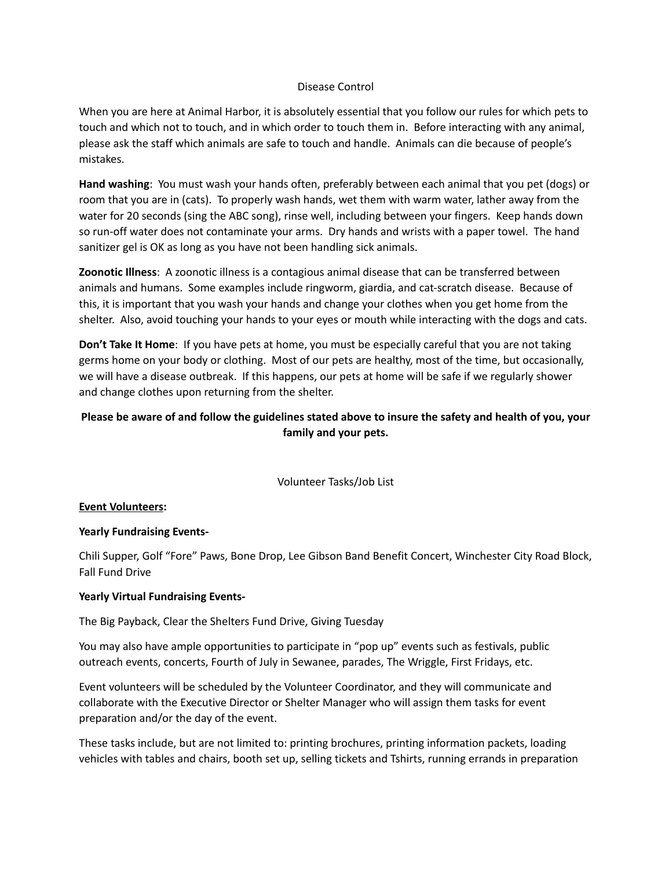#### Disease Control

When you are here at Animal Harbor, it is absolutely essential that you follow our rules for which pets to touch and which not to touch, and in which order to touch them in. Before interacting with any animal, please ask the staff which animals are safe to touch and handle. Animals can die because of people's mistakes.

**Hand washing**: You must wash your hands often, preferably between each animal that you pet (dogs) or room that you are in (cats). To properly wash hands, wet them with warm water, lather away from the water for 20 seconds (sing the ABC song), rinse well, including between your fingers. Keep hands down so run-off water does not contaminate your arms. Dry hands and wrists with a paper towel. The hand sanitizer gel is OK as long as you have not been handling sick animals.

**Zoonotic Illness**: A zoonotic illness is a contagious animal disease that can be transferred between animals and humans. Some examples include ringworm, giardia, and cat-scratch disease. Because of this, it is important that you wash your hands and change your clothes when you get home from the shelter. Also, avoid touching your hands to your eyes or mouth while interacting with the dogs and cats.

**Don't Take It Home**: If you have pets at home, you must be especially careful that you are not taking germs home on your body or clothing. Most of our pets are healthy, most of the time, but occasionally, we will have a disease outbreak. If this happens, our pets at home will be safe if we regularly shower and change clothes upon returning from the shelter.

# Please be aware of and follow the guidelines stated above to insure the safety and health of you, your **family and your pets.**

Volunteer Tasks/Job List

#### **Event Volunteers:**

# **Yearly Fundraising Events-**

Chili Supper, Golf "Fore" Paws, Bone Drop, Lee Gibson Band Benefit Concert, Winchester City Road Block, Fall Fund Drive

#### **Yearly Virtual Fundraising Events-**

The Big Payback, Clear the Shelters Fund Drive, Giving Tuesday

You may also have ample opportunities to participate in "pop up" events such as festivals, public outreach events, concerts, Fourth of July in Sewanee, parades, The Wriggle, First Fridays, etc.

Event volunteers will be scheduled by the Volunteer Coordinator, and they will communicate and collaborate with the Executive Director or Shelter Manager who will assign them tasks for event preparation and/or the day of the event.

These tasks include, but are not limited to: printing brochures, printing information packets, loading vehicles with tables and chairs, booth set up, selling tickets and Tshirts, running errands in preparation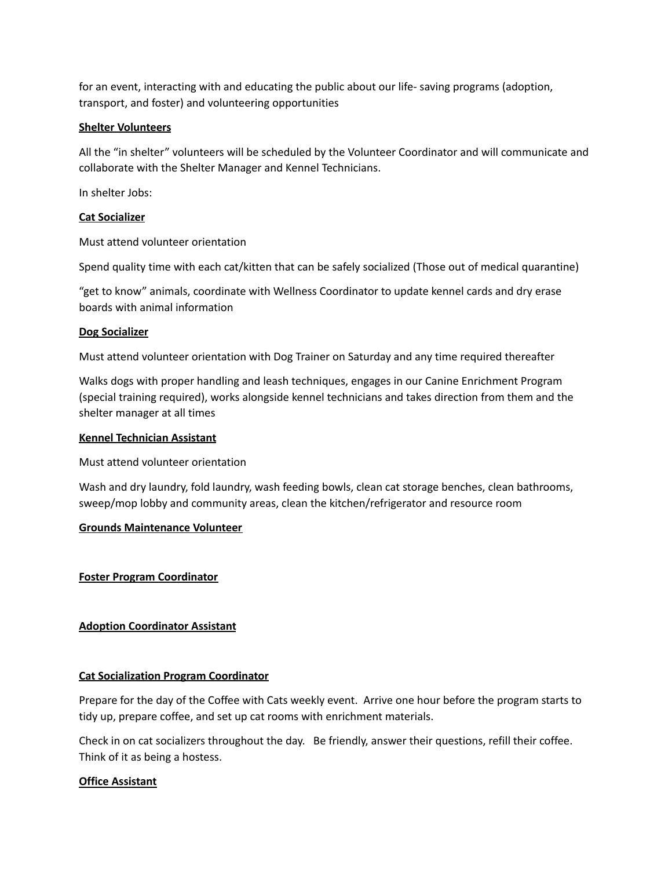for an event, interacting with and educating the public about our life- saving programs (adoption, transport, and foster) and volunteering opportunities

#### **Shelter Volunteers**

All the "in shelter" volunteers will be scheduled by the Volunteer Coordinator and will communicate and collaborate with the Shelter Manager and Kennel Technicians.

In shelter Jobs:

### **Cat Socializer**

Must attend volunteer orientation

Spend quality time with each cat/kitten that can be safely socialized (Those out of medical quarantine)

"get to know" animals, coordinate with Wellness Coordinator to update kennel cards and dry erase boards with animal information

#### **Dog Socializer**

Must attend volunteer orientation with Dog Trainer on Saturday and any time required thereafter

Walks dogs with proper handling and leash techniques, engages in our Canine Enrichment Program (special training required), works alongside kennel technicians and takes direction from them and the shelter manager at all times

#### **Kennel Technician Assistant**

Must attend volunteer orientation

Wash and dry laundry, fold laundry, wash feeding bowls, clean cat storage benches, clean bathrooms, sweep/mop lobby and community areas, clean the kitchen/refrigerator and resource room

#### **Grounds Maintenance Volunteer**

#### **Foster Program Coordinator**

# **Adoption Coordinator Assistant**

# **Cat Socialization Program Coordinator**

Prepare for the day of the Coffee with Cats weekly event. Arrive one hour before the program starts to tidy up, prepare coffee, and set up cat rooms with enrichment materials.

Check in on cat socializers throughout the day. Be friendly, answer their questions, refill their coffee. Think of it as being a hostess.

# **Office Assistant**